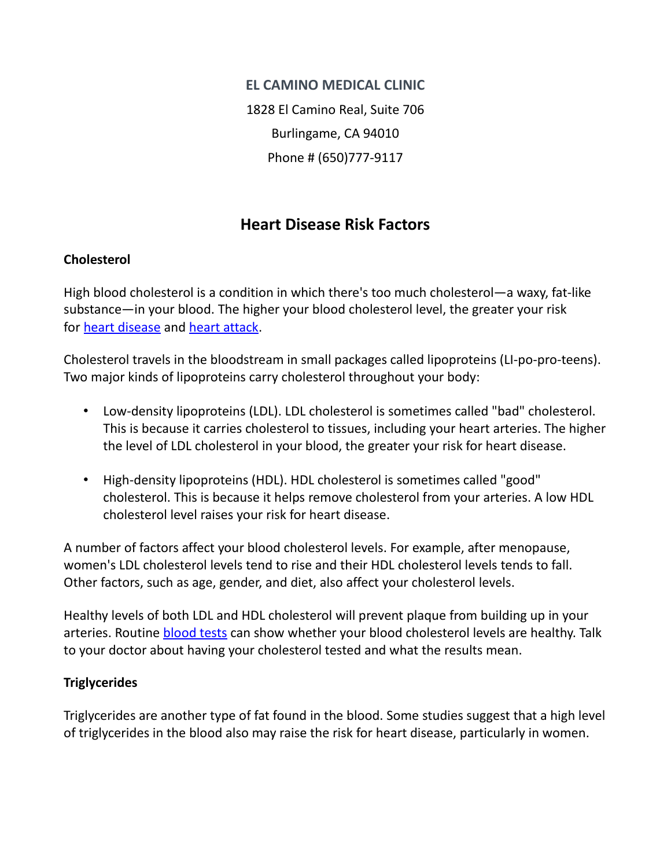**EL CAMINO MEDICAL CLINIC** 1828 El Camino Real, Suite 706 Burlingame, CA 94010 Phone # (650)777-9117

# **Heart Disease Risk Factors**

# **Cholesterol**

High blood cholesterol is a condition in which there's too much cholesterol—a waxy, fat-like substance—in your blood. The higher your blood cholesterol level, the greater your risk for [heart disease](http://www.nhlbi.nih.gov/health/dci/Diseases/Cad/CAD_WhatIs.html) and [heart attack.](http://www.nhlbi.nih.gov/health/dci/Diseases/HeartAttack/HeartAttack_WhatIs.html)

Cholesterol travels in the bloodstream in small packages called lipoproteins (LI-po-pro-teens). Two major kinds of lipoproteins carry cholesterol throughout your body:

- Low-density lipoproteins (LDL). LDL cholesterol is sometimes called "bad" cholesterol. This is because it carries cholesterol to tissues, including your heart arteries. The higher the level of LDL cholesterol in your blood, the greater your risk for heart disease.
- High-density lipoproteins (HDL). HDL cholesterol is sometimes called "good" cholesterol. This is because it helps remove cholesterol from your arteries. A low HDL cholesterol level raises your risk for heart disease.

A number of factors affect your blood cholesterol levels. For example, after menopause, women's LDL cholesterol levels tend to rise and their HDL cholesterol levels tends to fall. Other factors, such as age, gender, and diet, also affect your cholesterol levels.

Healthy levels of both LDL and HDL cholesterol will prevent plaque from building up in your arteries. Routine **[blood tests](http://www.nhlbi.nih.gov/health/dci/Diseases/bdt/bdt_what.html)** can show whether your blood cholesterol levels are healthy. Talk to your doctor about having your cholesterol tested and what the results mean.

# **Triglycerides**

Triglycerides are another type of fat found in the blood. Some studies suggest that a high level of triglycerides in the blood also may raise the risk for heart disease, particularly in women.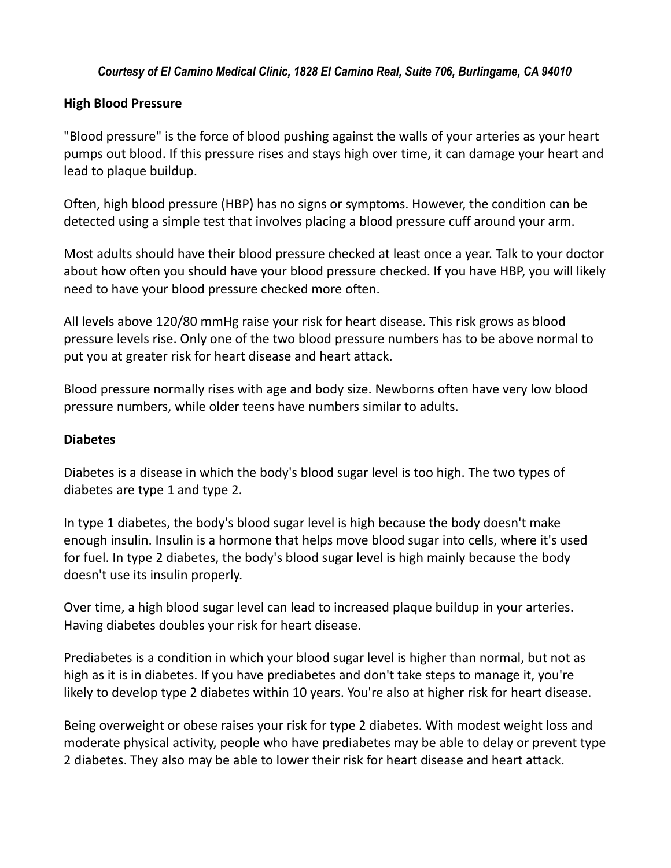# **High Blood Pressure**

"Blood pressure" is the force of blood pushing against the walls of your arteries as your heart pumps out blood. If this pressure rises and stays high over time, it can damage your heart and lead to plaque buildup.

Often, high blood pressure (HBP) has no signs or symptoms. However, the condition can be detected using a simple test that involves placing a blood pressure cuff around your arm.

Most adults should have their blood pressure checked at least once a year. Talk to your doctor about how often you should have your blood pressure checked. If you have HBP, you will likely need to have your blood pressure checked more often.

All levels above 120/80 mmHg raise your risk for heart disease. This risk grows as blood pressure levels rise. Only one of the two blood pressure numbers has to be above normal to put you at greater risk for heart disease and heart attack.

Blood pressure normally rises with age and body size. Newborns often have very low blood pressure numbers, while older teens have numbers similar to adults.

# **Diabetes**

Diabetes is a disease in which the body's blood sugar level is too high. The two types of diabetes are type 1 and type 2.

In type 1 diabetes, the body's blood sugar level is high because the body doesn't make enough insulin. Insulin is a hormone that helps move blood sugar into cells, where it's used for fuel. In type 2 diabetes, the body's blood sugar level is high mainly because the body doesn't use its insulin properly.

Over time, a high blood sugar level can lead to increased plaque buildup in your arteries. Having diabetes doubles your risk for heart disease.

Prediabetes is a condition in which your blood sugar level is higher than normal, but not as high as it is in diabetes. If you have prediabetes and don't take steps to manage it, you're likely to develop type 2 diabetes within 10 years. You're also at higher risk for heart disease.

Being overweight or obese raises your risk for type 2 diabetes. With modest weight loss and moderate physical activity, people who have prediabetes may be able to delay or prevent type 2 diabetes. They also may be able to lower their risk for heart disease and heart attack.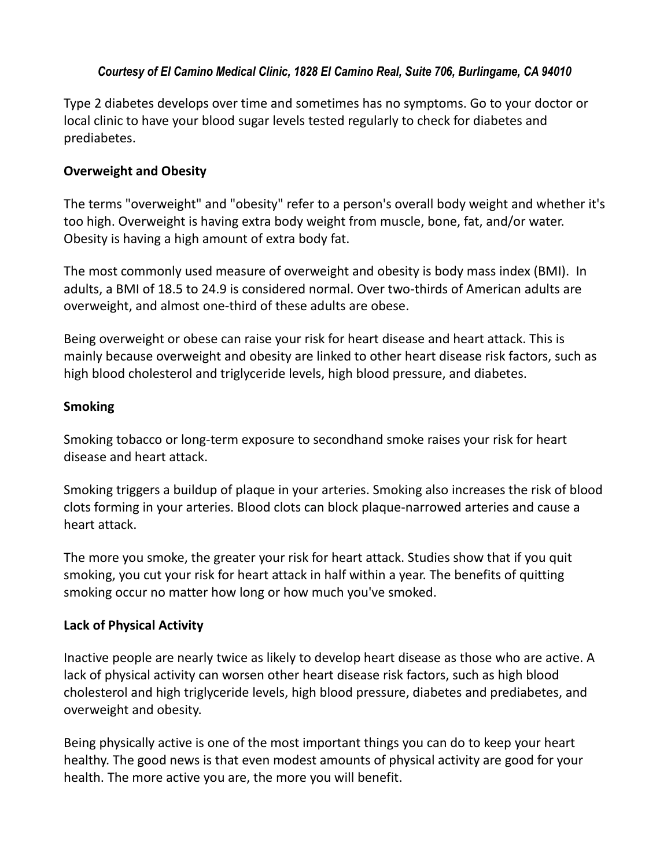Type 2 diabetes develops over time and sometimes has no symptoms. Go to your doctor or local clinic to have your blood sugar levels tested regularly to check for diabetes and prediabetes.

# **Overweight and Obesity**

The terms "overweight" and "obesity" refer to a person's overall body weight and whether it's too high. Overweight is having extra body weight from muscle, bone, fat, and/or water. Obesity is having a high amount of extra body fat.

The most commonly used measure of overweight and obesity is body mass index (BMI). In adults, a BMI of 18.5 to 24.9 is considered normal. Over two-thirds of American adults are overweight, and almost one-third of these adults are obese.

Being overweight or obese can raise your risk for heart disease and heart attack. This is mainly because overweight and obesity are linked to other heart disease risk factors, such as high blood cholesterol and triglyceride levels, high blood pressure, and diabetes.

# **Smoking**

Smoking tobacco or long-term exposure to secondhand smoke raises your risk for heart disease and heart attack.

Smoking triggers a buildup of plaque in your arteries. Smoking also increases the risk of blood clots forming in your arteries. Blood clots can block plaque-narrowed arteries and cause a heart attack.

The more you smoke, the greater your risk for heart attack. Studies show that if you quit smoking, you cut your risk for heart attack in half within a year. The benefits of quitting smoking occur no matter how long or how much you've smoked.

# **Lack of Physical Activity**

Inactive people are nearly twice as likely to develop heart disease as those who are active. A lack of physical activity can worsen other heart disease risk factors, such as high blood cholesterol and high triglyceride levels, high blood pressure, diabetes and prediabetes, and overweight and obesity.

Being physically active is one of the most important things you can do to keep your heart healthy. The good news is that even modest amounts of physical activity are good for your health. The more active you are, the more you will benefit.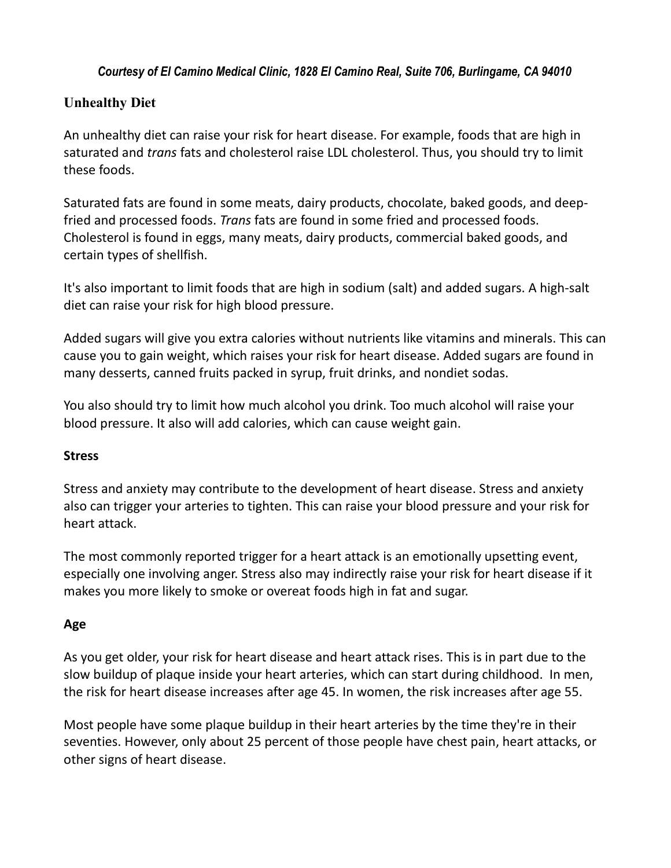# **Unhealthy Diet**

An unhealthy diet can raise your risk for heart disease. For example, foods that are high in saturated and *trans* fats and cholesterol raise LDL cholesterol. Thus, you should try to limit these foods.

Saturated fats are found in some meats, dairy products, chocolate, baked goods, and deepfried and processed foods. *Trans* fats are found in some fried and processed foods. Cholesterol is found in eggs, many meats, dairy products, commercial baked goods, and certain types of shellfish.

It's also important to limit foods that are high in sodium (salt) and added sugars. A high-salt diet can raise your risk for high blood pressure.

Added sugars will give you extra calories without nutrients like vitamins and minerals. This can cause you to gain weight, which raises your risk for heart disease. Added sugars are found in many desserts, canned fruits packed in syrup, fruit drinks, and nondiet sodas.

You also should try to limit how much alcohol you drink. Too much alcohol will raise your blood pressure. It also will add calories, which can cause weight gain.

# **Stress**

Stress and anxiety may contribute to the development of heart disease. Stress and anxiety also can trigger your arteries to tighten. This can raise your blood pressure and your risk for heart attack.

The most commonly reported trigger for a heart attack is an emotionally upsetting event, especially one involving anger. Stress also may indirectly raise your risk for heart disease if it makes you more likely to smoke or overeat foods high in fat and sugar.

# **Age**

As you get older, your risk for heart disease and heart attack rises. This is in part due to the slow buildup of plaque inside your heart arteries, which can start during childhood. In men, the risk for heart disease increases after age 45. In women, the risk increases after age 55.

Most people have some plaque buildup in their heart arteries by the time they're in their seventies. However, only about 25 percent of those people have chest pain, heart attacks, or other signs of heart disease.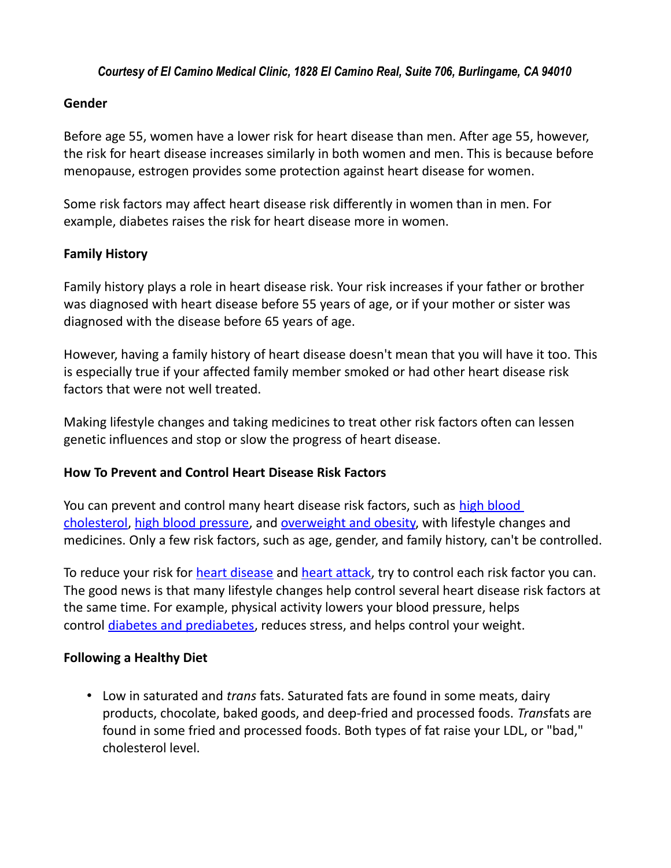#### **Gender**

Before age 55, women have a lower risk for heart disease than men. After age 55, however, the risk for heart disease increases similarly in both women and men. This is because before menopause, estrogen provides some protection against heart disease for women.

Some risk factors may affect heart disease risk differently in women than in men. For example, diabetes raises the risk for heart disease more in women.

#### **Family History**

Family history plays a role in heart disease risk. Your risk increases if your father or brother was diagnosed with heart disease before 55 years of age, or if your mother or sister was diagnosed with the disease before 65 years of age.

However, having a family history of heart disease doesn't mean that you will have it too. This is especially true if your affected family member smoked or had other heart disease risk factors that were not well treated.

Making lifestyle changes and taking medicines to treat other risk factors often can lessen genetic influences and stop or slow the progress of heart disease.

# **How To Prevent and Control Heart Disease Risk Factors**

You can prevent and control many heart disease risk factors, such as [high blood](http://www.nhlbi.nih.gov/health/dci/Diseases/Hbc/HBC_WhatIs.html) [cholesterol,](http://www.nhlbi.nih.gov/health/dci/Diseases/Hbc/HBC_WhatIs.html) [high blood pressure,](http://www.nhlbi.nih.gov/health/dci/Diseases/Hbp/HBP_WhatIs.html) and [overweight and obesity,](http://www.nhlbi.nih.gov/health/dci/Diseases/obe/obe_whatare.html) with lifestyle changes and medicines. Only a few risk factors, such as age, gender, and family history, can't be controlled.

To reduce your risk for [heart disease](http://www.nhlbi.nih.gov/health/dci/Diseases/Cad/CAD_WhatIs.html) and [heart attack,](http://www.nhlbi.nih.gov/health/dci/Diseases/HeartAttack/HeartAttack_WhatIs.html) try to control each risk factor you can. The good news is that many lifestyle changes help control several heart disease risk factors at the same time. For example, physical activity lowers your blood pressure, helps control [diabetes and prediabetes,](http://diabetes.niddk.nih.gov/intro/index.htm) reduces stress, and helps control your weight.

#### **Following a Healthy Diet**

• Low in saturated and *trans* fats. Saturated fats are found in some meats, dairy products, chocolate, baked goods, and deep-fried and processed foods. *Trans*fats are found in some fried and processed foods. Both types of fat raise your LDL, or "bad," cholesterol level.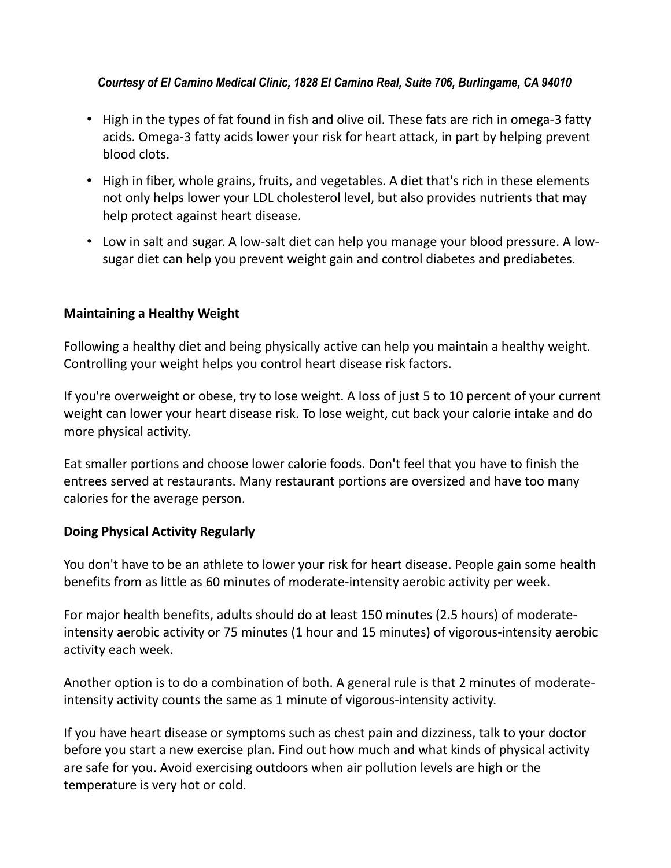- High in the types of fat found in fish and olive oil. These fats are rich in omega-3 fatty acids. Omega-3 fatty acids lower your risk for heart attack, in part by helping prevent blood clots.
- High in fiber, whole grains, fruits, and vegetables. A diet that's rich in these elements not only helps lower your LDL cholesterol level, but also provides nutrients that may help protect against heart disease.
- Low in salt and sugar. A low-salt diet can help you manage your blood pressure. A lowsugar diet can help you prevent weight gain and control diabetes and prediabetes.

#### **Maintaining a Healthy Weight**

Following a healthy diet and being physically active can help you maintain a healthy weight. Controlling your weight helps you control heart disease risk factors.

If you're overweight or obese, try to lose weight. A loss of just 5 to 10 percent of your current weight can lower your heart disease risk. To lose weight, cut back your calorie intake and do more physical activity.

Eat smaller portions and choose lower calorie foods. Don't feel that you have to finish the entrees served at restaurants. Many restaurant portions are oversized and have too many calories for the average person.

#### **Doing Physical Activity Regularly**

You don't have to be an athlete to lower your risk for heart disease. People gain some health benefits from as little as 60 minutes of moderate-intensity aerobic activity per week.

For major health benefits, adults should do at least 150 minutes (2.5 hours) of moderateintensity aerobic activity or 75 minutes (1 hour and 15 minutes) of vigorous-intensity aerobic activity each week.

Another option is to do a combination of both. A general rule is that 2 minutes of moderateintensity activity counts the same as 1 minute of vigorous-intensity activity.

If you have heart disease or symptoms such as chest pain and dizziness, talk to your doctor before you start a new exercise plan. Find out how much and what kinds of physical activity are safe for you. Avoid exercising outdoors when air pollution levels are high or the temperature is very hot or cold.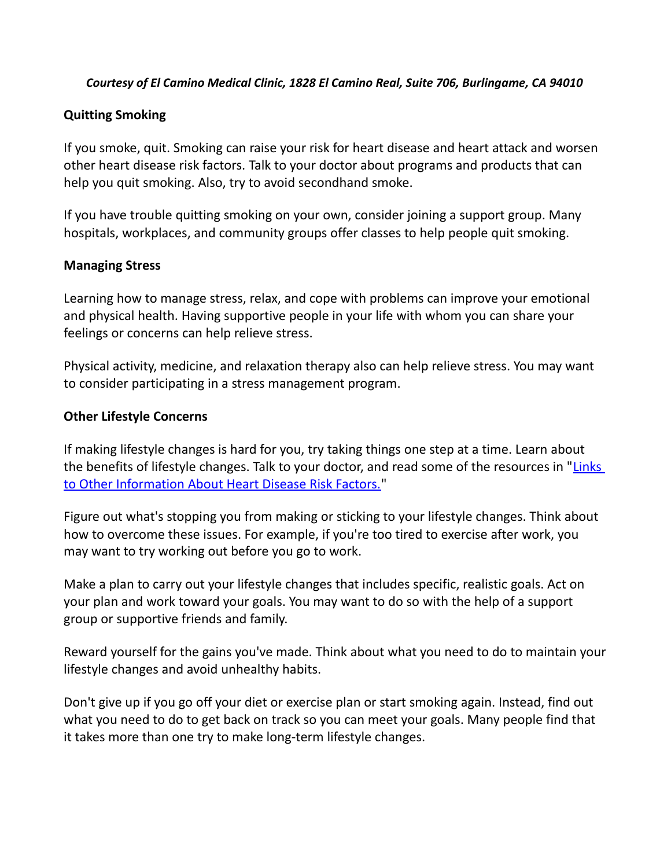# **Quitting Smoking**

If you smoke, quit. Smoking can raise your risk for heart disease and heart attack and worsen other heart disease risk factors. Talk to your doctor about programs and products that can help you quit smoking. Also, try to avoid secondhand smoke.

If you have trouble quitting smoking on your own, consider joining a support group. Many hospitals, workplaces, and community groups offer classes to help people quit smoking.

# **Managing Stress**

Learning how to manage stress, relax, and cope with problems can improve your emotional and physical health. Having supportive people in your life with whom you can share your feelings or concerns can help relieve stress.

Physical activity, medicine, and relaxation therapy also can help relieve stress. You may want to consider participating in a stress management program.

#### **Other Lifestyle Concerns**

If making lifestyle changes is hard for you, try taking things one step at a time. Learn about the benefits of lifestyle changes. Talk to your doctor, and read some of the resources in ["Links](http://www.nhlbi.nih.gov/health/dci/Diseases/hd/hd_links.html) [to Other Information About Heart Disease Risk Factors."](http://www.nhlbi.nih.gov/health/dci/Diseases/hd/hd_links.html)

Figure out what's stopping you from making or sticking to your lifestyle changes. Think about how to overcome these issues. For example, if you're too tired to exercise after work, you may want to try working out before you go to work.

Make a plan to carry out your lifestyle changes that includes specific, realistic goals. Act on your plan and work toward your goals. You may want to do so with the help of a support group or supportive friends and family.

Reward yourself for the gains you've made. Think about what you need to do to maintain your lifestyle changes and avoid unhealthy habits.

Don't give up if you go off your diet or exercise plan or start smoking again. Instead, find out what you need to do to get back on track so you can meet your goals. Many people find that it takes more than one try to make long-term lifestyle changes.